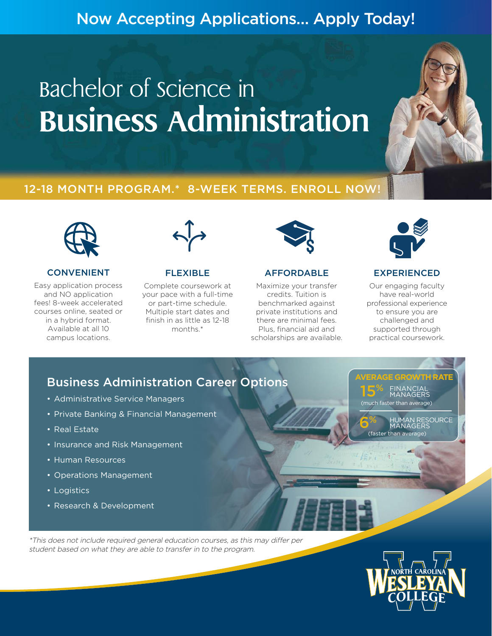# Now Accepting Applications… Apply Today!

# Bachelor of Science in **Business Administration**





### CONVENIENT

Easy application process and NO application fees! 8-week accelerated courses online, seated or in a hybrid format. Available at all 10 campus locations.



### FLEXIBLE

Complete coursework at your pace with a full-time or part-time schedule. Multiple start dates and finish in as little as 12-18 months.\*



### AFFORDABLE

Maximize your transfer credits. Tuition is benchmarked against private institutions and there are minimal fees. Plus, financial aid and scholarships are available.



### EXPERIENCED

Our engaging faculty have real-world professional experience to ensure you are challenged and supported through practical coursework.

**AVERAGE GROWTH RATE** FINANCIAL MANAGERS

(much faster than average)

(faster than aver

%

15%

HUM RESOURCE

## Business Administration Career Options

- Administrative Service Managers
- Private Banking & Financial Management
- Real Estate
- Insurance and Risk Management
- Human Resources
- Operations Management
- Logistics
- Research & Development

\*This does not include required general education courses, as this may differ per student based on what they are able to transfer in to the program.